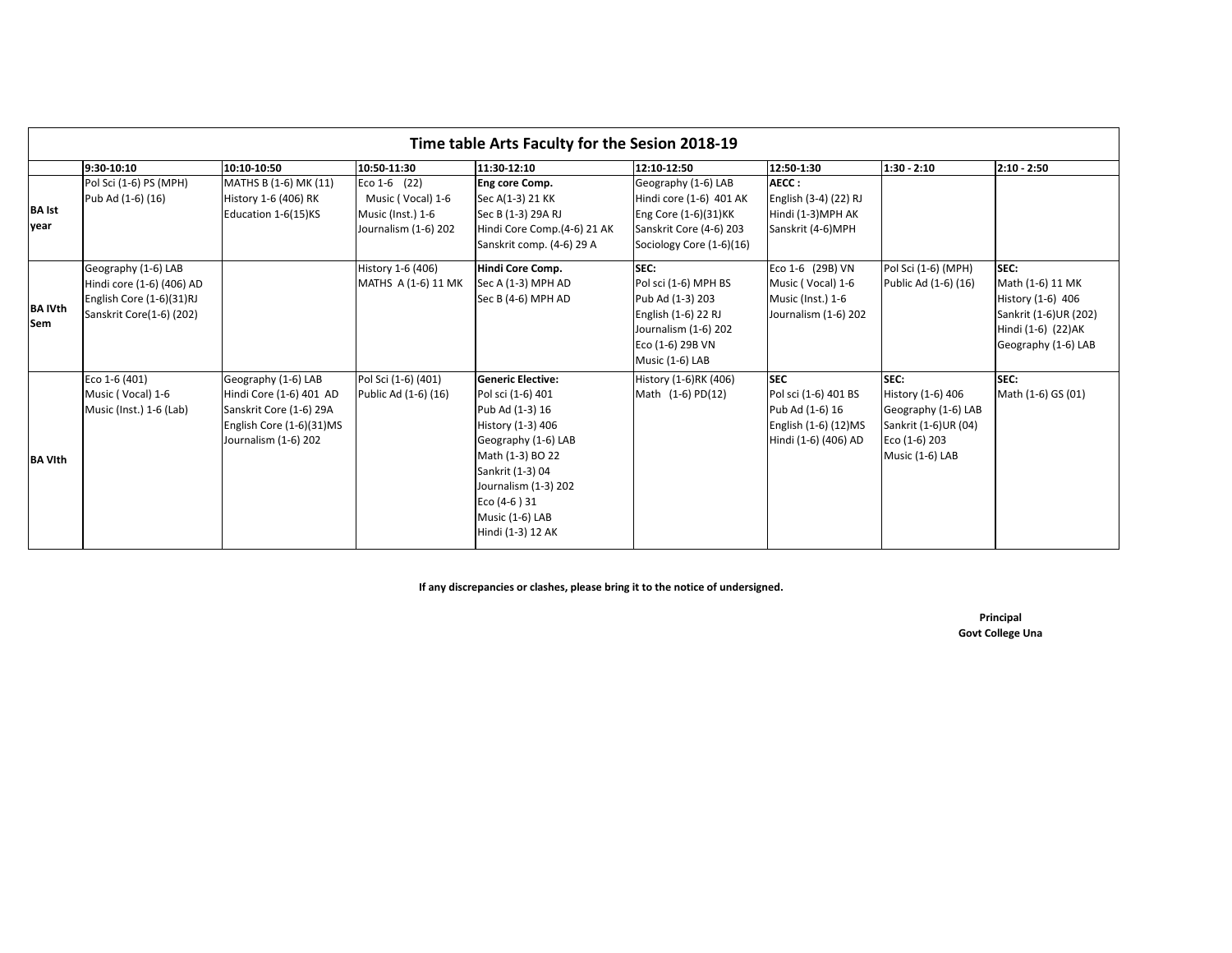| Time table Arts Faculty for the Sesion 2018-19 |                                                                                                          |                                                                                                                               |                                                                                                 |                                                                                                                                                                                                                                      |                                                                                                                                              |                                                                                                       |                                                                                                              |                                                                                                                     |
|------------------------------------------------|----------------------------------------------------------------------------------------------------------|-------------------------------------------------------------------------------------------------------------------------------|-------------------------------------------------------------------------------------------------|--------------------------------------------------------------------------------------------------------------------------------------------------------------------------------------------------------------------------------------|----------------------------------------------------------------------------------------------------------------------------------------------|-------------------------------------------------------------------------------------------------------|--------------------------------------------------------------------------------------------------------------|---------------------------------------------------------------------------------------------------------------------|
| <b>BA</b> Ist<br>year                          | 9:30-10:10<br>Pol Sci (1-6) PS (MPH)<br>Pub Ad (1-6) (16)                                                | 10:10-10:50<br>MATHS B (1-6) MK (11)<br>History 1-6 (406) RK<br>Education 1-6(15)KS                                           | 10:50-11:30<br>Eco 1-6 $(22)$<br>Music (Vocal) 1-6<br>Music (Inst.) 1-6<br>Journalism (1-6) 202 | 11:30-12:10<br>Eng core Comp.<br>Sec A(1-3) 21 KK<br>Sec B (1-3) 29A RJ<br>Hindi Core Comp.(4-6) 21 AK<br>Sanskrit comp. (4-6) 29 A                                                                                                  | 12:10-12:50<br>Geography (1-6) LAB<br>Hindi core (1-6) 401 AK<br>Eng Core (1-6)(31)KK<br>Sanskrit Core (4-6) 203<br>Sociology Core (1-6)(16) | 12:50-1:30<br>AECC:<br>English (3-4) (22) RJ<br>Hindi (1-3)MPH AK<br>Sanskrit (4-6)MPH                | 1:30 - 2:10                                                                                                  | $2:10 - 2:50$                                                                                                       |
| <b>BA IVth</b><br><b>Sem</b>                   | Geography (1-6) LAB<br>Hindi core (1-6) (406) AD<br>English Core (1-6)(31)RJ<br>Sanskrit Core(1-6) (202) |                                                                                                                               | History 1-6 (406)<br>MATHS A (1-6) 11 MK                                                        | Hindi Core Comp.<br>Sec A (1-3) MPH AD<br>Sec B (4-6) MPH AD                                                                                                                                                                         | SEC:<br>Pol sci (1-6) MPH BS<br>Pub Ad (1-3) 203<br>English (1-6) 22 RJ<br>Journalism (1-6) 202<br>Eco (1-6) 29B VN<br>Music (1-6) LAB       | Eco 1-6 (29B) VN<br>Music (Vocal) 1-6<br>Music (Inst.) 1-6<br>Journalism (1-6) 202                    | Pol Sci (1-6) (MPH)<br>Public Ad (1-6) (16)                                                                  | SEC:<br>Math (1-6) 11 MK<br>History (1-6) 406<br>Sankrit (1-6)UR (202)<br>Hindi (1-6) (22)AK<br>Geography (1-6) LAB |
| <b>BA VIth</b>                                 | Eco 1-6 (401)<br>Music (Vocal) 1-6<br>Music (Inst.) 1-6 (Lab)                                            | Geography (1-6) LAB<br>Hindi Core (1-6) 401 AD<br>Sanskrit Core (1-6) 29A<br>English Core (1-6)(31)MS<br>Journalism (1-6) 202 | Pol Sci (1-6) (401)<br>Public Ad (1-6) (16)                                                     | <b>Generic Elective:</b><br>Pol sci (1-6) 401<br>Pub Ad (1-3) 16<br>History (1-3) 406<br>Geography (1-6) LAB<br>Math (1-3) BO 22<br>Sankrit (1-3) 04<br>Journalism (1-3) 202<br>Eco (4-6) 31<br>Music (1-6) LAB<br>Hindi (1-3) 12 AK | History (1-6)RK (406)<br>Math (1-6) PD(12)                                                                                                   | <b>SEC</b><br>Pol sci (1-6) 401 BS<br>Pub Ad (1-6) 16<br>English (1-6) (12)MS<br>Hindi (1-6) (406) AD | SEC:<br>History (1-6) 406<br>Geography (1-6) LAB<br>Sankrit (1-6)UR (04)<br>Eco (1-6) 203<br>Music (1-6) LAB | SEC:<br>Math (1-6) GS (01)                                                                                          |

**If any discrepancies or clashes, please bring it to the notice of undersigned.**

**Principal Govt College Una**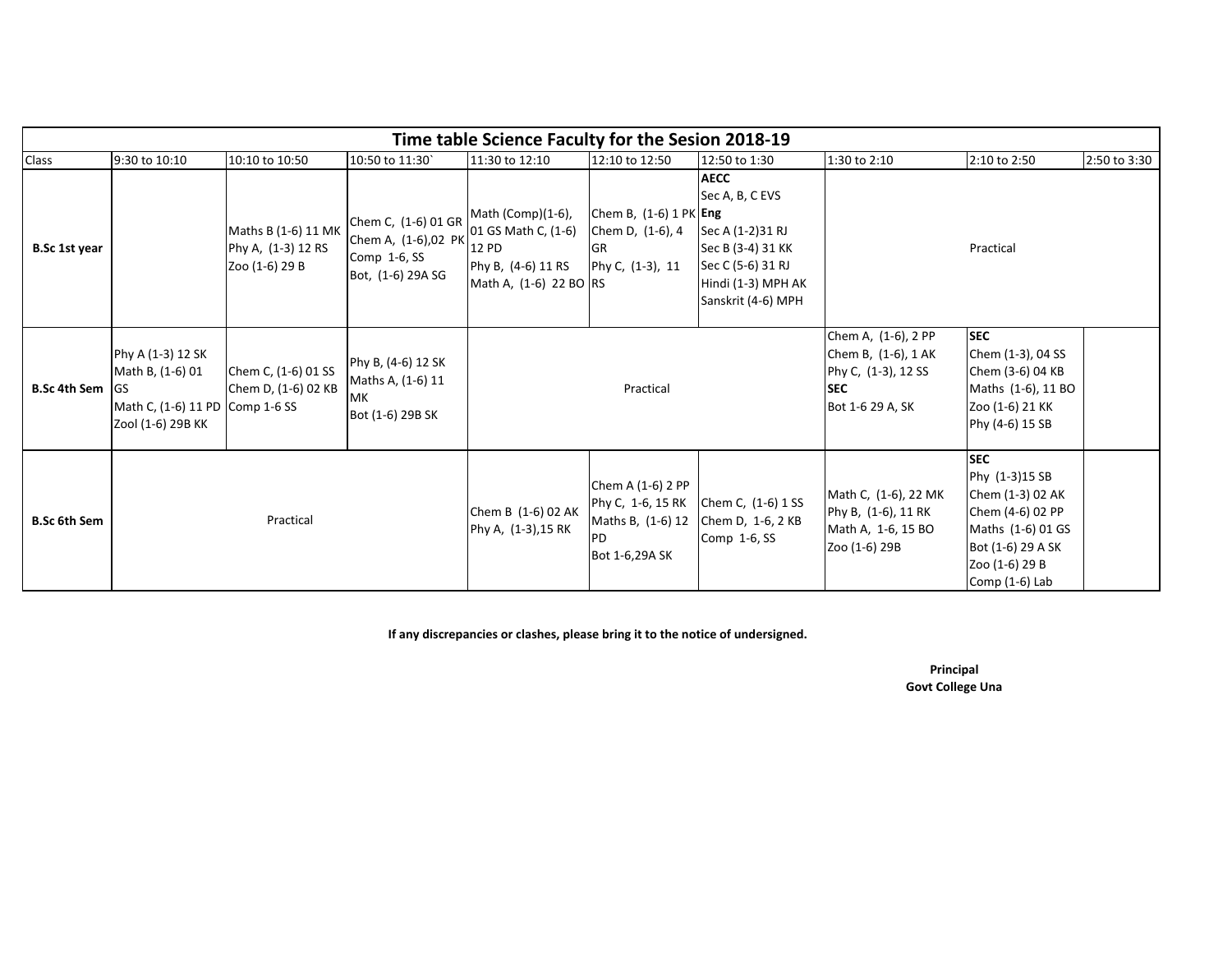| Time table Science Faculty for the Sesion 2018-19 |                                                                                               |                                                             |                                                                                 |                                                                                                   |                                                                                     |                                                                                                                                          |                                                                                                     |                                                                                                                                                    |              |  |
|---------------------------------------------------|-----------------------------------------------------------------------------------------------|-------------------------------------------------------------|---------------------------------------------------------------------------------|---------------------------------------------------------------------------------------------------|-------------------------------------------------------------------------------------|------------------------------------------------------------------------------------------------------------------------------------------|-----------------------------------------------------------------------------------------------------|----------------------------------------------------------------------------------------------------------------------------------------------------|--------------|--|
| Class                                             | 9:30 to 10:10                                                                                 | 10:10 to 10:50                                              | 10:50 to 11:30                                                                  | 11:30 to 12:10                                                                                    | 12:10 to 12:50                                                                      | 12:50 to 1:30                                                                                                                            | 1:30 to 2:10                                                                                        | 2:10 to 2:50                                                                                                                                       | 2:50 to 3:30 |  |
| B.Sc 1st year                                     |                                                                                               | Maths B (1-6) 11 MK<br>Phy A, (1-3) 12 RS<br>Zoo (1-6) 29 B | Chem C, (1-6) 01 GR<br>Chem A, (1-6),02 PK<br>Comp 1-6, SS<br>Bot, (1-6) 29A SG | Math (Comp)(1-6),<br>01 GS Math C, (1-6)<br>12 PD<br>Phy B, (4-6) 11 RS<br>Math A, (1-6) 22 BO RS | Chem B, $(1-6)$ 1 PK Eng<br>Chem D, (1-6), 4<br><b>GR</b><br>Phy C, (1-3), 11       | <b>AECC</b><br>Sec A, B, C EVS<br>Sec A (1-2)31 RJ<br>Sec B (3-4) 31 KK<br>Sec C (5-6) 31 RJ<br>Hindi (1-3) MPH AK<br>Sanskrit (4-6) MPH |                                                                                                     | Practical                                                                                                                                          |              |  |
| <b>B.Sc 4th Sem IGS</b>                           | Phy A (1-3) 12 SK<br>Math B, (1-6) 01<br>Math C, (1-6) 11 PD Comp 1-6 SS<br>Zool (1-6) 29B KK | Chem C, (1-6) 01 SS<br>Chem D, (1-6) 02 KB                  | Phy B, (4-6) 12 SK<br>Maths A, (1-6) 11<br><b>MK</b><br>Bot (1-6) 29B SK        | Practical                                                                                         |                                                                                     |                                                                                                                                          | Chem A, (1-6), 2 PP<br>Chem B, (1-6), 1 AK<br>Phy C, (1-3), 12 SS<br><b>SEC</b><br>Bot 1-6 29 A, SK | <b>SEC</b><br>Chem (1-3), 04 SS<br>Chem (3-6) 04 KB<br>Maths (1-6), 11 BO<br>Zoo (1-6) 21 KK<br>Phy (4-6) 15 SB                                    |              |  |
| <b>B.Sc 6th Sem</b>                               | Practical                                                                                     |                                                             |                                                                                 | Chem B (1-6) 02 AK<br>Phy A, (1-3), 15 RK                                                         | Chem A (1-6) 2 PP<br>Phy C, 1-6, 15 RK<br>Maths B, (1-6) 12<br>PD<br>Bot 1-6,29A SK | Chem C, (1-6) 1 SS<br>Chem D, 1-6, 2 KB<br>Comp 1-6, SS                                                                                  | Math C, (1-6), 22 MK<br>Phy B, (1-6), 11 RK<br>Math A, 1-6, 15 BO<br>Zoo (1-6) 29B                  | <b>SEC</b><br>Phy (1-3)15 SB<br>Chem (1-3) 02 AK<br>Chem (4-6) 02 PP<br>Maths (1-6) 01 GS<br>Bot (1-6) 29 A SK<br>Zoo (1-6) 29 B<br>Comp (1-6) Lab |              |  |

**If any discrepancies or clashes, please bring it to the notice of undersigned.**

**Principal Govt College Una**